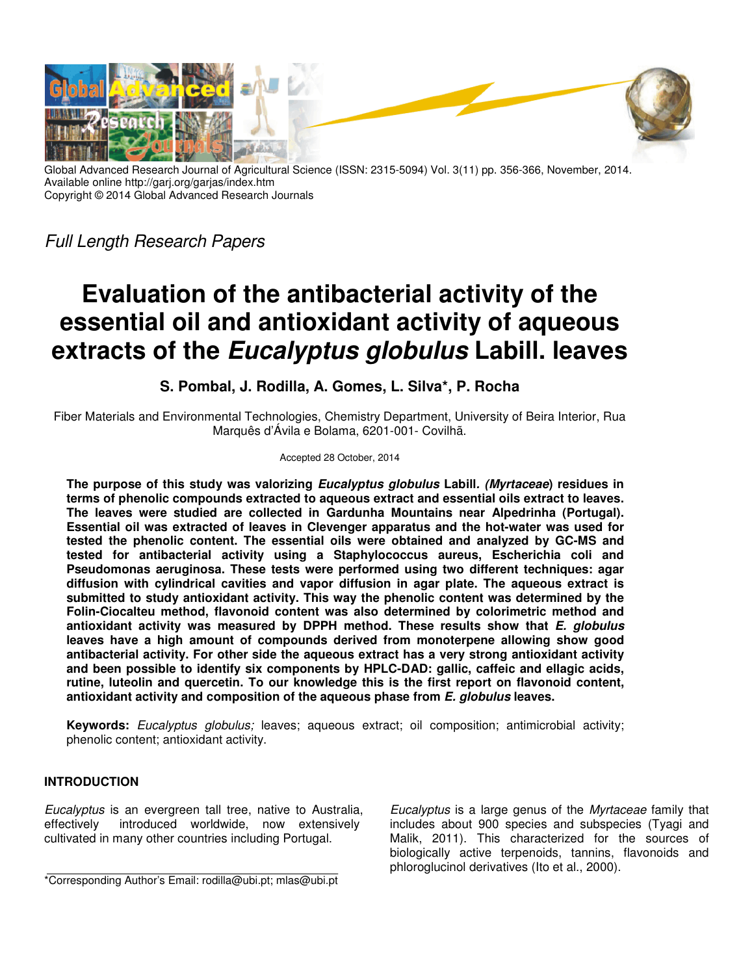

Global Advanced Research Journal of Agricultural Science (ISSN: 2315-5094) Vol. 3(11) pp. 356-366, November, 2014. Available online http://garj.org/garjas/index.htm Copyright © 2014 Global Advanced Research Journals

*Full Length Research Papers*

# **Evaluation of the antibacterial activity of the essential oil and antioxidant activity of aqueous extracts of the Eucalyptus globulus Labill. leaves**

**S. Pombal, J. Rodilla, A. Gomes, L. Silva\*, P. Rocha** 

Fiber Materials and Environmental Technologies, Chemistry Department, University of Beira Interior, Rua Marquês d'Ávila e Bolama, 6201-001- Covilhã.

# Accepted 28 October, 2014

**The purpose of this study was valorizing Eucalyptus globulus Labill. (Myrtaceae) residues in terms of phenolic compounds extracted to aqueous extract and essential oils extract to leaves. The leaves were studied are collected in Gardunha Mountains near Alpedrinha (Portugal). Essential oil was extracted of leaves in Clevenger apparatus and the hot-water was used for tested the phenolic content. The essential oils were obtained and analyzed by GC-MS and tested for antibacterial activity using a Staphylococcus aureus, Escherichia coli and Pseudomonas aeruginosa. These tests were performed using two different techniques: agar diffusion with cylindrical cavities and vapor diffusion in agar plate. The aqueous extract is submitted to study antioxidant activity. This way the phenolic content was determined by the Folin-Ciocalteu method, flavonoid content was also determined by colorimetric method and antioxidant activity was measured by DPPH method. These results show that E. globulus leaves have a high amount of compounds derived from monoterpene allowing show good antibacterial activity. For other side the aqueous extract has a very strong antioxidant activity and been possible to identify six components by HPLC-DAD: gallic, caffeic and ellagic acids, rutine, luteolin and quercetin. To our knowledge this is the first report on flavonoid content, antioxidant activity and composition of the aqueous phase from E. globulus leaves.** 

**Keywords:** *Eucalyptus globulus;* leaves; aqueous extract; oil composition; antimicrobial activity; phenolic content; antioxidant activity.

# **INTRODUCTION**

*Eucalyptus* is an evergreen tall tree, native to Australia, effectively introduced worldwide, now extensively cultivated in many other countries including Portugal.

*Eucalyptus* is a large genus of the *Myrtaceae* family that includes about 900 species and subspecies (Tyagi and Malik, 2011). This characterized for the sources of biologically active terpenoids, tannins, flavonoids and phloroglucinol derivatives (Ito et al., 2000).

\*Corresponding Author's Email: rodilla@ubi.pt; mlas@ubi.pt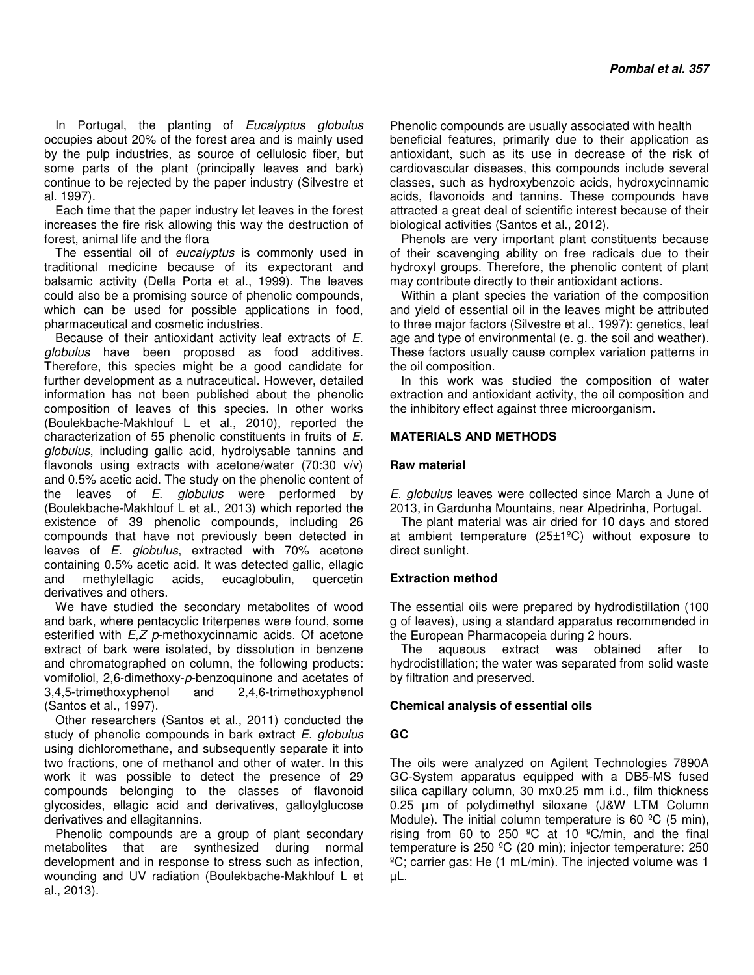In Portugal, the planting of *Eucalyptus globulus* occupies about 20% of the forest area and is mainly used by the pulp industries, as source of cellulosic fiber, but some parts of the plant (principally leaves and bark) continue to be rejected by the paper industry (Silvestre et al. 1997).

Each time that the paper industry let leaves in the forest increases the fire risk allowing this way the destruction of forest, animal life and the flora

The essential oil of *eucalyptus* is commonly used in traditional medicine because of its expectorant and balsamic activity (Della Porta et al., 1999). The leaves could also be a promising source of phenolic compounds, which can be used for possible applications in food, pharmaceutical and cosmetic industries.

Because of their antioxidant activity leaf extracts of *E. globulus* have been proposed as food additives. Therefore, this species might be a good candidate for further development as a nutraceutical. However, detailed information has not been published about the phenolic composition of leaves of this species. In other works (Boulekbache-Makhlouf L et al., 2010), reported the characterization of 55 phenolic constituents in fruits of *E. globulus*, including gallic acid, hydrolysable tannins and flavonols using extracts with acetone/water (70:30 v/v) and 0.5% acetic acid. The study on the phenolic content of the leaves of *E. globulus* were performed by (Boulekbache-Makhlouf L et al., 2013) which reported the existence of 39 phenolic compounds, including 26 compounds that have not previously been detected in leaves of *E. globulus*, extracted with 70% acetone containing 0.5% acetic acid. It was detected gallic, ellagic and methylellagic acids, eucaglobulin, quercetin derivatives and others.

We have studied the secondary metabolites of wood and bark, where pentacyclic triterpenes were found, some esterified with *E*,*Z p*-methoxycinnamic acids. Of acetone extract of bark were isolated, by dissolution in benzene and chromatographed on column, the following products: vomifoliol, 2,6-dimethoxy-*p*-benzoquinone and acetates of 3,4,5-trimethoxyphenol and 2,4,6-trimethoxyphenol (Santos et al., 1997).

Other researchers (Santos et al., 2011) conducted the study of phenolic compounds in bark extract *E. globulus* using dichloromethane, and subsequently separate it into two fractions, one of methanol and other of water. In this work it was possible to detect the presence of 29 compounds belonging to the classes of flavonoid glycosides, ellagic acid and derivatives, galloylglucose derivatives and ellagitannins.

Phenolic compounds are a group of plant secondary metabolites that are synthesized during normal development and in response to stress such as infection, wounding and UV radiation (Boulekbache-Makhlouf L et al., 2013).

Phenolic compounds are usually associated with health beneficial features, primarily due to their application as antioxidant, such as its use in decrease of the risk of cardiovascular diseases, this compounds include several classes, such as hydroxybenzoic acids, hydroxycinnamic acids, flavonoids and tannins. These compounds have attracted a great deal of scientific interest because of their biological activities (Santos et al., 2012).

Phenols are very important plant constituents because of their scavenging ability on free radicals due to their hydroxyl groups. Therefore, the phenolic content of plant may contribute directly to their antioxidant actions.

Within a plant species the variation of the composition and yield of essential oil in the leaves might be attributed to three major factors (Silvestre et al., 1997): genetics, leaf age and type of environmental (e. g. the soil and weather). These factors usually cause complex variation patterns in the oil composition.

In this work was studied the composition of water extraction and antioxidant activity, the oil composition and the inhibitory effect against three microorganism.

# **MATERIALS AND METHODS**

## **Raw material**

*E. globulus* leaves were collected since March a June of 2013, in Gardunha Mountains, near Alpedrinha, Portugal.

The plant material was air dried for 10 days and stored at ambient temperature (25±1ºC) without exposure to direct sunlight.

# **Extraction method**

The essential oils were prepared by hydrodistillation (100 g of leaves), using a standard apparatus recommended in the European Pharmacopeia during 2 hours.

The aqueous extract was obtained after to hydrodistillation; the water was separated from solid waste by filtration and preserved.

## **Chemical analysis of essential oils**

## **GC**

The oils were analyzed on Agilent Technologies 7890A GC-System apparatus equipped with a DB5-MS fused silica capillary column, 30 mx0.25 mm i.d., film thickness 0.25 µm of polydimethyl siloxane (J&W LTM Column Module). The initial column temperature is 60 °C (5 min), rising from 60 to 250  $^{\circ}$ C at 10  $^{\circ}$ C/min, and the final temperature is 250 ºC (20 min); injector temperature: 250  $°C$ ; carrier gas: He (1 mL/min). The injected volume was 1 µL.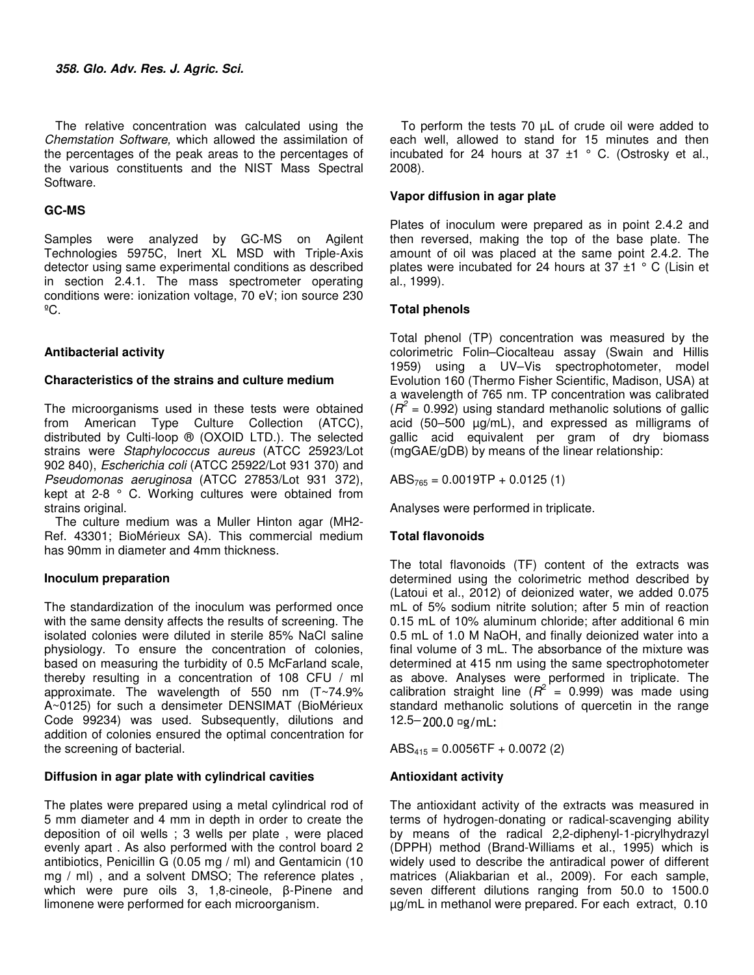The relative concentration was calculated using the *Chemstation Software,* which allowed the assimilation of the percentages of the peak areas to the percentages of the various constituents and the NIST Mass Spectral Software.

# **GC-MS**

Samples were analyzed by GC-MS on Agilent Technologies 5975C, Inert XL MSD with Triple-Axis detector using same experimental conditions as described in section 2.4.1. The mass spectrometer operating conditions were: ionization voltage, 70 eV; ion source 230  $^{\circ}$ C.

# **Antibacterial activity**

# **Characteristics of the strains and culture medium**

The microorganisms used in these tests were obtained from American Type Culture Collection (ATCC), distributed by Culti-loop ® (OXOID LTD.). The selected strains were *Staphylococcus aureus* (ATCC 25923/Lot 902 840), *Escherichia coli* (ATCC 25922/Lot 931 370) and *Pseudomonas aeruginosa* (ATCC 27853/Lot 931 372), kept at 2-8 ° C. Working cultures were obtained from strains original.

The culture medium was a Muller Hinton agar (MH2- Ref. 43301; BioMérieux SA). This commercial medium has 90mm in diameter and 4mm thickness.

# **Inoculum preparation**

The standardization of the inoculum was performed once with the same density affects the results of screening. The isolated colonies were diluted in sterile 85% NaCl saline physiology. To ensure the concentration of colonies, based on measuring the turbidity of 0.5 McFarland scale, thereby resulting in a concentration of 108 CFU / ml approximate. The wavelength of 550 nm (T~74.9% A~0125) for such a densimeter DENSIMAT (BioMérieux Code 99234) was used. Subsequently, dilutions and addition of colonies ensured the optimal concentration for the screening of bacterial.

# **Diffusion in agar plate with cylindrical cavities**

The plates were prepared using a metal cylindrical rod of 5 mm diameter and 4 mm in depth in order to create the deposition of oil wells ; 3 wells per plate , were placed evenly apart . As also performed with the control board 2 antibiotics, Penicillin G (0.05 mg / ml) and Gentamicin (10 mg / ml), and a solvent DMSO; The reference plates, which were pure oils 3, 1,8-cineole, β-Pinene and limonene were performed for each microorganism.

To perform the tests 70 µL of crude oil were added to each well, allowed to stand for 15 minutes and then incubated for 24 hours at 37  $\pm$ 1 ° C. (Ostrosky et al., 2008).

# **Vapor diffusion in agar plate**

Plates of inoculum were prepared as in point 2.4.2 and then reversed, making the top of the base plate. The amount of oil was placed at the same point 2.4.2. The plates were incubated for 24 hours at 37  $\pm$ 1 ° C (Lisin et al., 1999).

# **Total phenols**

Total phenol (TP) concentration was measured by the colorimetric Folin–Ciocalteau assay (Swain and Hillis 1959) using a UV–Vis spectrophotometer, model Evolution 160 (Thermo Fisher Scientific, Madison, USA) at a wavelength of 765 nm. TP concentration was calibrated  $(R^2 = 0.992)$  using standard methanolic solutions of gallic acid (50–500 µg/mL), and expressed as milligrams of gallic acid equivalent per gram of dry biomass (mgGAE/gDB) by means of the linear relationship:

 $ABS_{765} = 0.0019TP + 0.0125(1)$ 

Analyses were performed in triplicate.

# **Total flavonoids**

The total flavonoids (TF) content of the extracts was determined using the colorimetric method described by (Latoui et al., 2012) of deionized water, we added 0.075 mL of 5% sodium nitrite solution; after 5 min of reaction 0.15 mL of 10% aluminum chloride; after additional 6 min 0.5 mL of 1.0 M NaOH, and finally deionized water into a final volume of 3 mL. The absorbance of the mixture was determined at 415 nm using the same spectrophotometer as above. Analyses were performed in triplicate. The calibration straight line  $(R^2 = 0.999)$  was made using standard methanolic solutions of quercetin in the range  $12.5 - 200.0$   $\text{kg/mL}$ :

 $ABS<sub>415</sub> = 0.0056TF + 0.0072(2)$ 

# **Antioxidant activity**

The antioxidant activity of the extracts was measured in terms of hydrogen-donating or radical-scavenging ability by means of the radical 2,2-diphenyl-1-picrylhydrazyl (DPPH) method (Brand-Williams et al., 1995) which is widely used to describe the antiradical power of different matrices (Aliakbarian et al., 2009). For each sample, seven different dilutions ranging from 50.0 to 1500.0 µg/mL in methanol were prepared. For each extract, 0.10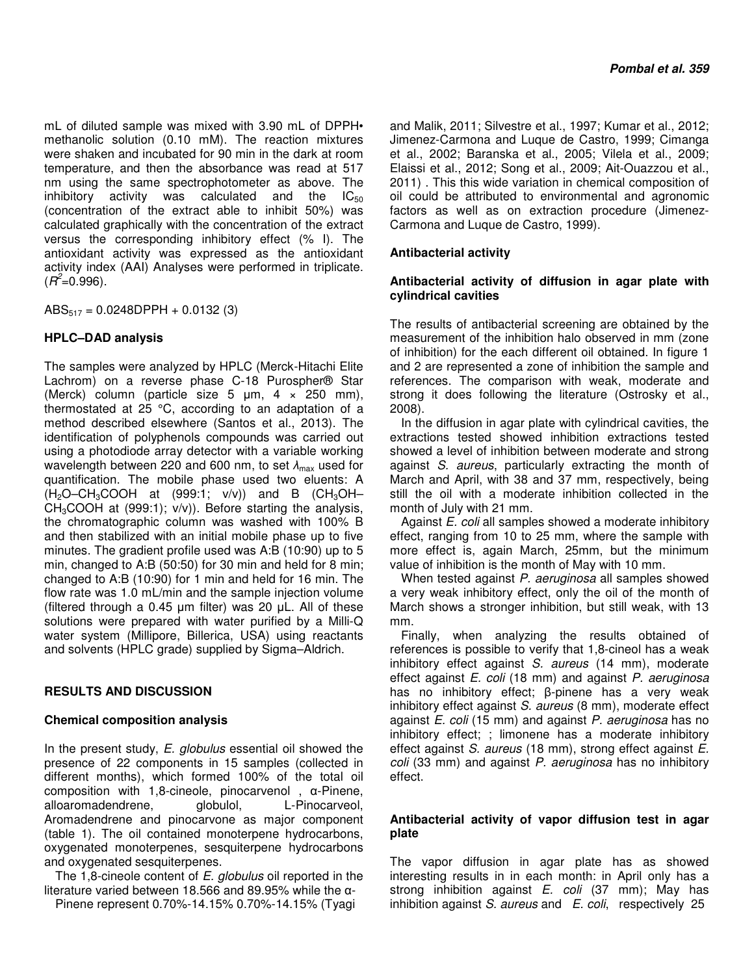mL of diluted sample was mixed with 3.90 mL of DPPH• methanolic solution (0.10 mM). The reaction mixtures were shaken and incubated for 90 min in the dark at room temperature, and then the absorbance was read at 517 nm using the same spectrophotometer as above. The inhibitory activity was calculated and the  $IC_{50}$ (concentration of the extract able to inhibit 50%) was calculated graphically with the concentration of the extract versus the corresponding inhibitory effect (% I). The antioxidant activity was expressed as the antioxidant activity index (AAI) Analyses were performed in triplicate.  $(R^2 = 0.996)$ .

 $ABS_{517} = 0.0248DPPH + 0.0132(3)$ 

# **HPLC–DAD analysis**

The samples were analyzed by HPLC (Merck-Hitachi Elite Lachrom) on a reverse phase C-18 Purospher® Star (Merck) column (particle size 5  $\mu$ m, 4  $\times$  250 mm), thermostated at 25 °C, according to an adaptation of a method described elsewhere (Santos et al., 2013). The identification of polyphenols compounds was carried out using a photodiode array detector with a variable working wavelength between 220 and 600 nm, to set  $λ_{max}$  used for quantification. The mobile phase used two eluents: A  $(H_2O–CH_3COOH$  at (999:1;  $v/v)$ ) and B (CH<sub>3</sub>OH–  $CH<sub>3</sub>COOH$  at (999:1);  $v/v$ )). Before starting the analysis, the chromatographic column was washed with 100% B and then stabilized with an initial mobile phase up to five minutes. The gradient profile used was A:B (10:90) up to 5 min, changed to A:B (50:50) for 30 min and held for 8 min; changed to A:B (10:90) for 1 min and held for 16 min. The flow rate was 1.0 mL/min and the sample injection volume (filtered through a 0.45 µm filter) was 20 µL. All of these solutions were prepared with water purified by a Milli-Q water system (Millipore, Billerica, USA) using reactants and solvents (HPLC grade) supplied by Sigma–Aldrich.

# **RESULTS AND DISCUSSION**

# **Chemical composition analysis**

In the present study, *E. globulus* essential oil showed the presence of 22 components in 15 samples (collected in different months), which formed 100% of the total oil composition with 1,8-cineole, pinocarvenol , α-Pinene, alloaromadendrene, globulol, L-Pinocarveol, Aromadendrene and pinocarvone as major component (table 1). The oil contained monoterpene hydrocarbons, oxygenated monoterpenes, sesquiterpene hydrocarbons and oxygenated sesquiterpenes.

The 1,8-cineole content of *E. globulus* oil reported in the literature varied between 18.566 and 89.95% while the α-

Pinene represent 0.70%-14.15% 0.70%-14.15% (Tyagi

and Malik, 2011; Silvestre et al., 1997; Kumar et al., 2012; Jimenez-Carmona and Luque de Castro, 1999; Cimanga et al., 2002; Baranska et al., 2005; Vilela et al., 2009; Elaissi et al., 2012; Song et al., 2009; Ait-Ouazzou et al., 2011) . This this wide variation in chemical composition of oil could be attributed to environmental and agronomic factors as well as on extraction procedure (Jimenez-Carmona and Luque de Castro, 1999).

# **Antibacterial activity**

# **Antibacterial activity of diffusion in agar plate with cylindrical cavities**

The results of antibacterial screening are obtained by the measurement of the inhibition halo observed in mm (zone of inhibition) for the each different oil obtained. In figure 1 and 2 are represented a zone of inhibition the sample and references. The comparison with weak, moderate and strong it does following the literature (Ostrosky et al., 2008).

In the diffusion in agar plate with cylindrical cavities, the extractions tested showed inhibition extractions tested showed a level of inhibition between moderate and strong against *S. aureus*, particularly extracting the month of March and April, with 38 and 37 mm, respectively, being still the oil with a moderate inhibition collected in the month of July with 21 mm.

Against *E. coli* all samples showed a moderate inhibitory effect, ranging from 10 to 25 mm, where the sample with more effect is, again March, 25mm, but the minimum value of inhibition is the month of May with 10 mm.

When tested against *P. aeruginosa* all samples showed a very weak inhibitory effect, only the oil of the month of March shows a stronger inhibition, but still weak, with 13 mm.

Finally, when analyzing the results obtained of references is possible to verify that 1,8-cineol has a weak inhibitory effect against *S. aureus* (14 mm), moderate effect against *E. coli* (18 mm) and against *P. aeruginosa* has no inhibitory effect; β-pinene has a very weak inhibitory effect against *S. aureus* (8 mm), moderate effect against *E. coli* (15 mm) and against *P. aeruginosa* has no inhibitory effect; ; limonene has a moderate inhibitory effect against *S. aureus* (18 mm), strong effect against *E. coli* (33 mm) and against *P. aeruginosa* has no inhibitory effect.

# **Antibacterial activity of vapor diffusion test in agar plate**

The vapor diffusion in agar plate has as showed interesting results in in each month: in April only has a strong inhibition against *E. coli* (37 mm); May has inhibition against *S. aureus* and *E. coli*, respectively 25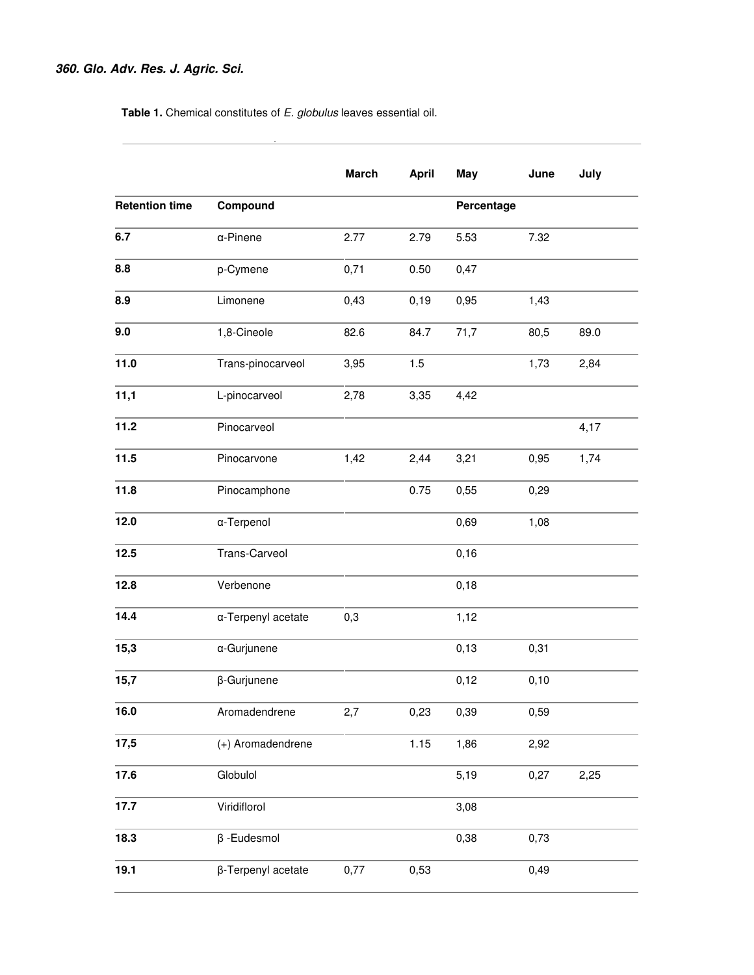**Table 1.** Chemical constitutes of *E. globulus* leaves essential oil.

 $\sim 10^{-1}$ 

|                       |                    | <b>March</b> | <b>April</b> | May        | June | July |
|-----------------------|--------------------|--------------|--------------|------------|------|------|
| <b>Retention time</b> | Compound           |              |              | Percentage |      |      |
| 6.7                   | $\alpha$ -Pinene   | 2.77         | 2.79         | 5.53       | 7.32 |      |
| 8.8                   | p-Cymene           | 0,71         | 0.50         | 0,47       |      |      |
| 8.9                   | Limonene           | 0,43         | 0, 19        | 0,95       | 1,43 |      |
| 9.0                   | 1,8-Cineole        | 82.6         | 84.7         | 71,7       | 80,5 | 89.0 |
| 11.0                  | Trans-pinocarveol  | 3,95         | 1.5          |            | 1,73 | 2,84 |
| 11,1                  | L-pinocarveol      | 2,78         | 3,35         | 4,42       |      |      |
| 11.2                  | Pinocarveol        |              |              |            |      | 4,17 |
| 11.5                  | Pinocarvone        | 1,42         | 2,44         | 3,21       | 0,95 | 1,74 |
| 11.8                  | Pinocamphone       |              | 0.75         | 0,55       | 0,29 |      |
| 12.0                  | α-Terpenol         |              |              | 0,69       | 1,08 |      |
| 12.5                  | Trans-Carveol      |              |              | 0,16       |      |      |
| 12.8                  | Verbenone          |              |              | 0,18       |      |      |
| 14.4                  | a-Terpenyl acetate | 0,3          |              | 1,12       |      |      |
| 15,3                  | α-Gurjunene        |              |              | 0, 13      | 0,31 |      |
| 15,7                  | β-Gurjunene        |              |              | 0,12       | 0,10 |      |
| 16.0                  | Aromadendrene      | 2,7          | 0,23         | 0,39       | 0,59 |      |
| 17,5                  | (+) Aromadendrene  |              | 1.15         | 1,86       | 2,92 |      |
| 17.6                  | Globulol           |              |              | 5,19       | 0,27 | 2,25 |
| 17.7                  | Viridiflorol       |              |              | 3,08       |      |      |
| 18.3                  | $\beta$ -Eudesmol  |              |              | 0,38       | 0,73 |      |
| 19.1                  | β-Terpenyl acetate | 0,77         | 0,53         |            | 0,49 |      |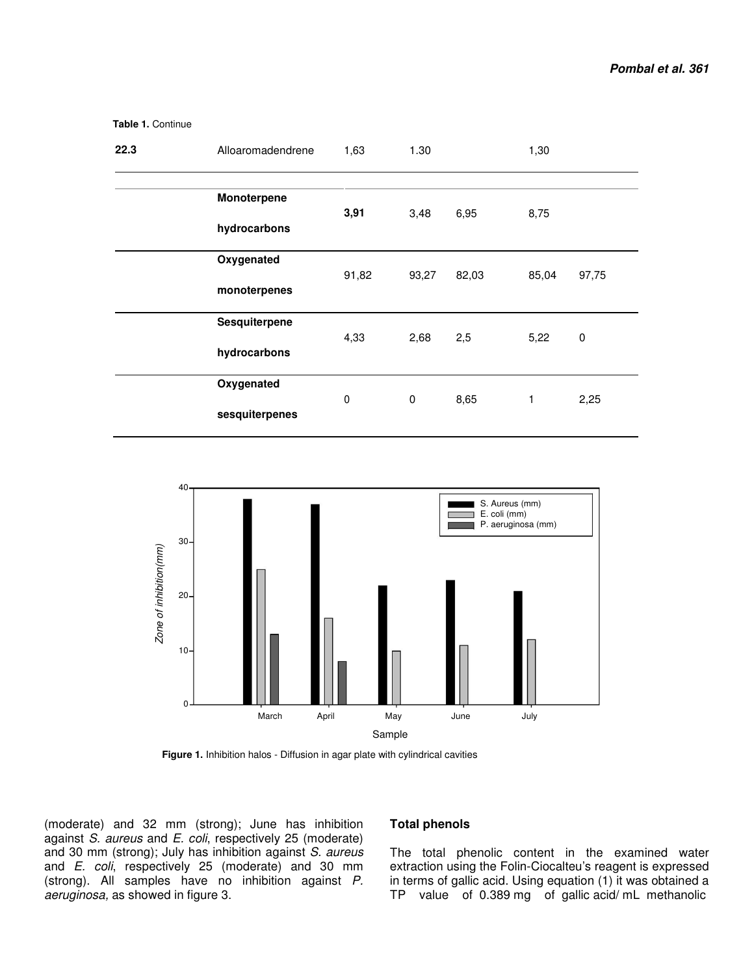| 22.3 | Alloaromadendrene             | 1,63        | 1.30  |       | 1,30  |           |
|------|-------------------------------|-------------|-------|-------|-------|-----------|
|      | Monoterpene<br>hydrocarbons   | 3,91        | 3,48  | 6,95  | 8,75  |           |
|      | Oxygenated<br>monoterpenes    | 91,82       | 93,27 | 82,03 | 85,04 | 97,75     |
|      | Sesquiterpene<br>hydrocarbons | 4,33        | 2,68  | 2,5   | 5,22  | $\pmb{0}$ |
|      | Oxygenated<br>sesquiterpenes  | $\mathbf 0$ | 0     | 8,65  | 1     | 2,25      |

40 S. Aureus (mm) E. coli (mm) ٦ P. aeruginosa (mm)  $30<sup>1</sup>$ Zone of inhibition(mm) *Zone of inhibition(mm)*  $\begin{array}{ccc} & & & \end{array}$  $10 _0$   $\perp$   $\perp$   $\perp$   $\perp$ March April May June July Sample

 **Figure 1.** Inhibition halos - Diffusion in agar plate with cylindrical cavities

(moderate) and 32 mm (strong); June has inhibition against *S. aureus* and *E. coli*, respectively 25 (moderate) and 30 mm (strong); July has inhibition against *S. aureus*  and *E. coli*, respectively 25 (moderate) and 30 mm (strong). All samples have no inhibition against *P. aeruginosa,* as showed in figure 3.

 **Table 1.** Continue

#### **Total phenols**

The total phenolic content in the examined water extraction using the Folin-Ciocalteu's reagent is expressed in terms of gallic acid. Using equation (1) it was obtained a TP value of 0.389 mg of gallic acid/ mL methanolic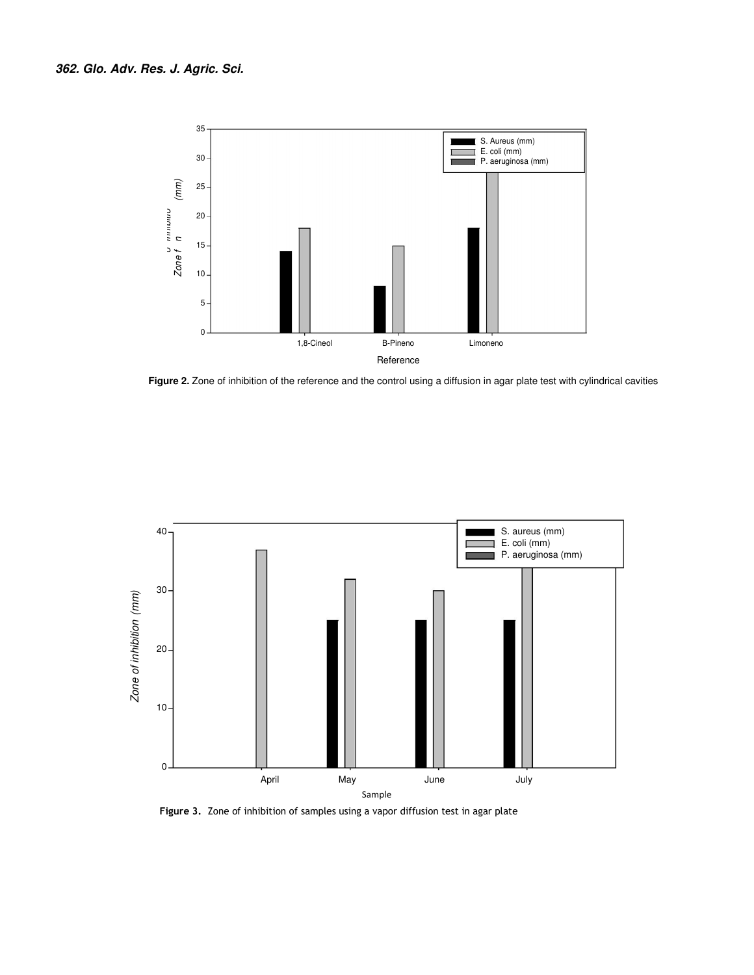

Figure 2. Zone of inhibition of the reference and the control using a diffusion in agar plate test with cylindrical cavities



 **Figure 3.** Zone of inhibition of samples using a vapor diffusion test in agar plate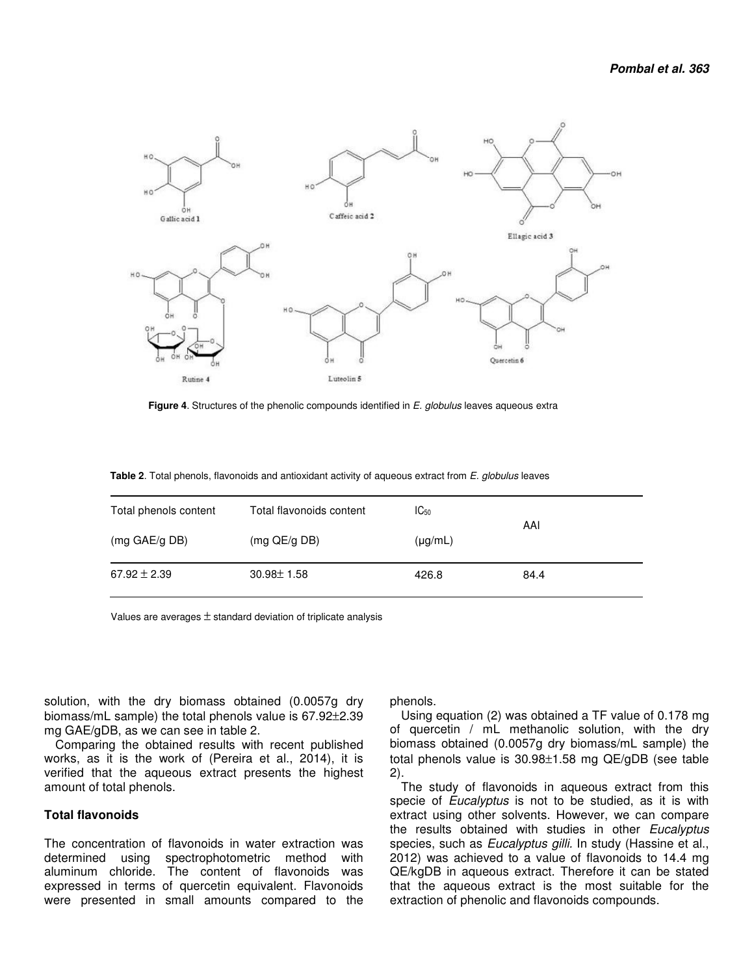

 **Figure 4**. Structures of the phenolic compounds identified in *E. globulus* leaves aqueous extra

|  |  | <b>Table 2.</b> Total phenols, flavonoids and antioxidant activity of aqueous extract from E. globulus leaves |
|--|--|---------------------------------------------------------------------------------------------------------------|
|--|--|---------------------------------------------------------------------------------------------------------------|

| Total phenols content | Total flavonoids content | $IC_{50}$    |      |
|-----------------------|--------------------------|--------------|------|
| (mg GAE/g DB)         | $(mq$ QE/g DB)           | $(\mu g/mL)$ | AAI  |
| $67.92 \pm 2.39$      | $30.98 \pm 1.58$         | 426.8        | 84.4 |

Values are averages  $\pm$  standard deviation of triplicate analysis

solution, with the dry biomass obtained (0.0057g dry biomass/mL sample) the total phenols value is 67.92±2.39 mg GAE/gDB, as we can see in table 2.

Comparing the obtained results with recent published works, as it is the work of (Pereira et al., 2014), it is verified that the aqueous extract presents the highest amount of total phenols.

#### **Total flavonoids**

The concentration of flavonoids in water extraction was determined using spectrophotometric method with aluminum chloride. The content of flavonoids was expressed in terms of quercetin equivalent. Flavonoids were presented in small amounts compared to the

phenols.

Using equation (2) was obtained a TF value of 0.178 mg of quercetin / mL methanolic solution, with the dry biomass obtained (0.0057g dry biomass/mL sample) the total phenols value is 30.98±1.58 mg QE/gDB (see table 2).

The study of flavonoids in aqueous extract from this specie of *Eucalyptus* is not to be studied, as it is with extract using other solvents. However, we can compare the results obtained with studies in other *Eucalyptus* species, such as *Eucalyptus gilli.* In study (Hassine et al., 2012) was achieved to a value of flavonoids to 14.4 mg QE/kgDB in aqueous extract. Therefore it can be stated that the aqueous extract is the most suitable for the extraction of phenolic and flavonoids compounds.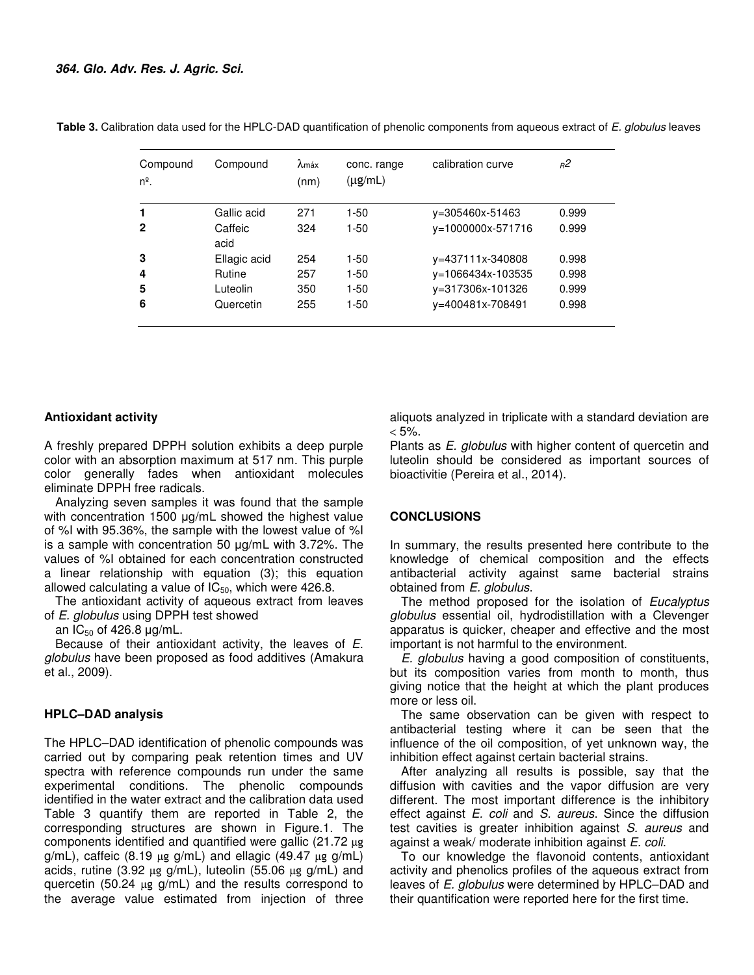| Compound<br>$n^{\circ}$ . | Compound        | $\lambda$ máx<br>(nm) | conc. range<br>$(\mu g/mL)$ | calibration curve | я2    |
|---------------------------|-----------------|-----------------------|-----------------------------|-------------------|-------|
| 1                         | Gallic acid     | 271                   | $1-50$                      | y=305460x-51463   | 0.999 |
| $\mathbf{2}$              | Caffeic<br>acid | 324                   | $1-50$                      | y=1000000x-571716 | 0.999 |
| 3                         | Ellagic acid    | 254                   | $1 - 50$                    | y=437111x-340808  | 0.998 |
| 4                         | Rutine          | 257                   | $1 - 50$                    | y=1066434x-103535 | 0.998 |
| 5                         | Luteolin        | 350                   | $1 - 50$                    | y=317306x-101326  | 0.999 |
| 6                         | Quercetin       | 255                   | $1 - 50$                    | v=400481x-708491  | 0.998 |

 **Table 3.** Calibration data used for the HPLC-DAD quantification of phenolic components from aqueous extract of *E. globulus* leaves

## **Antioxidant activity**

A freshly prepared DPPH solution exhibits a deep purple color with an absorption maximum at 517 nm. This purple color generally fades when antioxidant molecules eliminate DPPH free radicals.

Analyzing seven samples it was found that the sample with concentration 1500 ug/mL showed the highest value of %I with 95.36%, the sample with the lowest value of %I is a sample with concentration 50 µg/mL with 3.72%. The values of %I obtained for each concentration constructed a linear relationship with equation (3); this equation allowed calculating a value of  $IC_{50}$ , which were 426.8.

The antioxidant activity of aqueous extract from leaves of *E. globulus* using DPPH test showed

an  $IC_{50}$  of 426.8  $\mu$ g/mL.

Because of their antioxidant activity, the leaves of *E. globulus* have been proposed as food additives (Amakura et al., 2009).

## **HPLC–DAD analysis**

The HPLC–DAD identification of phenolic compounds was carried out by comparing peak retention times and UV spectra with reference compounds run under the same experimental conditions. The phenolic compounds identified in the water extract and the calibration data used Table 3 quantify them are reported in Table 2, the corresponding structures are shown in Figure.1. The components identified and quantified were gallic (21.72 µg g/mL), caffeic (8.19  $\mu$ g g/mL) and ellagic (49.47  $\mu$ g g/mL) acids, rutine (3.92  $\mu$ g g/mL), luteolin (55.06  $\mu$ g g/mL) and quercetin (50.24 µg g/mL) and the results correspond to the average value estimated from injection of three

aliquots analyzed in triplicate with a standard deviation are  $< 5\%$ .

Plants as *E. globulus* with higher content of quercetin and luteolin should be considered as important sources of bioactivitie (Pereira et al., 2014).

### **CONCLUSIONS**

In summary, the results presented here contribute to the knowledge of chemical composition and the effects antibacterial activity against same bacterial strains obtained from *E. globulus*.

The method proposed for the isolation of *Eucalyptus globulus* essential oil, hydrodistillation with a Clevenger apparatus is quicker, cheaper and effective and the most important is not harmful to the environment.

*E. globulus* having a good composition of constituents, but its composition varies from month to month, thus giving notice that the height at which the plant produces more or less oil.

The same observation can be given with respect to antibacterial testing where it can be seen that the influence of the oil composition, of yet unknown way, the inhibition effect against certain bacterial strains.

After analyzing all results is possible, say that the diffusion with cavities and the vapor diffusion are very different. The most important difference is the inhibitory effect against *E. coli* and *S. aureus*. Since the diffusion test cavities is greater inhibition against *S. aureus* and against a weak/ moderate inhibition against *E. coli*.

To our knowledge the flavonoid contents, antioxidant activity and phenolics profiles of the aqueous extract from leaves of *E. globulus* were determined by HPLC–DAD and their quantification were reported here for the first time.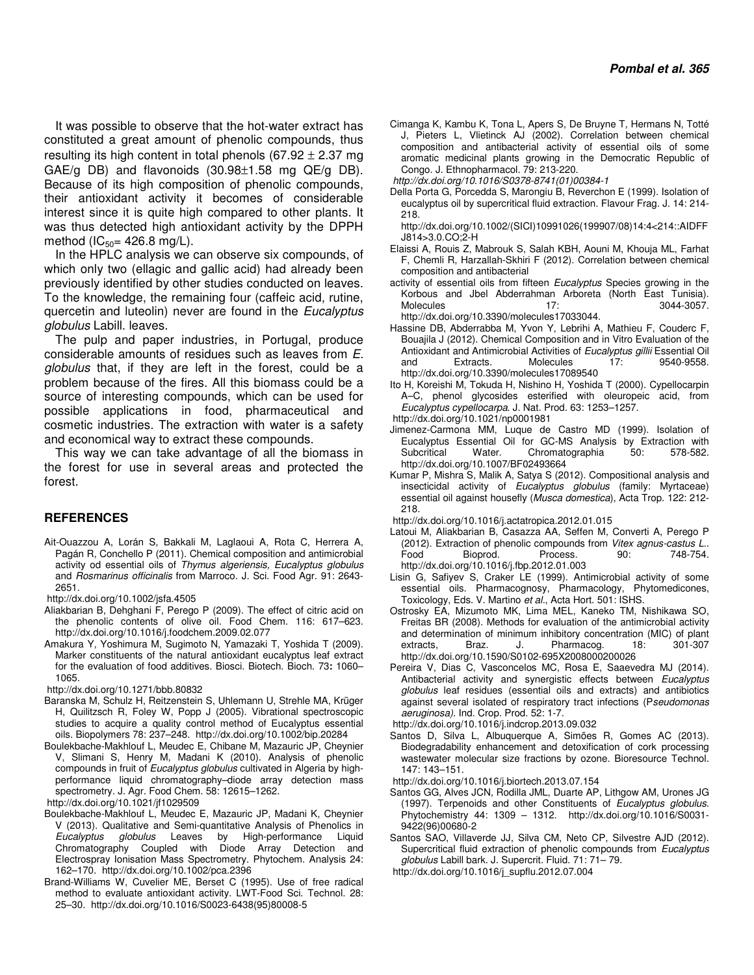It was possible to observe that the hot-water extract has constituted a great amount of phenolic compounds, thus resulting its high content in total phenols (67.92  $\pm$  2.37 mg GAE/g DB) and flavonoids  $(30.98\pm1.58 \text{ mg} \text{QE/g} \text{DB})$ . Because of its high composition of phenolic compounds, their antioxidant activity it becomes of considerable interest since it is quite high compared to other plants. It was thus detected high antioxidant activity by the DPPH method ( $IC_{50}$ = 426.8 mg/L).

In the HPLC analysis we can observe six compounds, of which only two (ellagic and gallic acid) had already been previously identified by other studies conducted on leaves. To the knowledge, the remaining four (caffeic acid, rutine, quercetin and luteolin) never are found in the *Eucalyptus globulus* Labill. leaves.

The pulp and paper industries, in Portugal, produce considerable amounts of residues such as leaves from *E. globulus* that, if they are left in the forest, could be a problem because of the fires. All this biomass could be a source of interesting compounds, which can be used for possible applications in food, pharmaceutical and cosmetic industries. The extraction with water is a safety and economical way to extract these compounds.

This way we can take advantage of all the biomass in the forest for use in several areas and protected the forest.

## **REFERENCES**

- Ait-Ouazzou A, Lorán S, Bakkali M, Laglaoui A, Rota C, Herrera A, Pagán R, Conchello P (2011). Chemical composition and antimicrobial activity od essential oils of *Thymus algeriensis, Eucalyptus globulus*  and *Rosmarinus officinalis* from Marroco. J. Sci. Food Agr. 91: 2643- 2651.
- http://dx.doi.org/10.1002/jsfa.4505
- Aliakbarian B, Dehghani F, Perego P (2009). The effect of citric acid on the phenolic contents of olive oil. Food Chem. 116: 617–623. http://dx.doi.org/10.1016/j.foodchem.2009.02.077
- Amakura Y, Yoshimura M, Sugimoto N, Yamazaki T, Yoshida T (2009). Marker constituents of the natural antioxidant eucalyptus leaf extract for the evaluation of food additives. Biosci. Biotech. Bioch. 73**:** 1060– 1065.
- http://dx.doi.org/10.1271/bbb.80832
- Baranska M, Schulz H, Reitzenstein S, Uhlemann U, Strehle MA, Krüger H, Quilitzsch R, Foley W, Popp J (2005). Vibrational spectroscopic studies to acquire a quality control method of Eucalyptus essential oils. Biopolymers 78: 237–248. http://dx.doi.org/10.1002/bip.20284
- Boulekbache-Makhlouf L, Meudec E, Chibane M, Mazauric JP, Cheynier V, Slimani S, Henry M, Madani K (2010). Analysis of phenolic compounds in fruit of *Eucalyptus globulus* cultivated in Algeria by highperformance liquid chromatography–diode array detection mass spectrometry. J. Agr. Food Chem. 58: 12615–1262.

http://dx.doi.org/10.1021/jf1029509

- Boulekbache-Makhlouf L, Meudec E, Mazauric JP, Madani K, Cheynier V (2013). Qualitative and Semi-quantitative Analysis of Phenolics in *Eucalyptus globulus* Leaves by High-performance Liquid Chromatography Coupled with Diode Array Detection and Electrospray Ionisation Mass Spectrometry. Phytochem. Analysis 24: 162–170. http://dx.doi.org/10.1002/pca.2396
- Brand-Williams W, Cuvelier ME, Berset C (1995). Use of free radical method to evaluate antioxidant activity. LWT-Food Sci. Technol. 28: 25–30. http://dx.doi.org/10.1016/S0023-6438(95)80008-5
- Cimanga K, Kambu K, Tona L, Apers S, De Bruyne T, Hermans N, Totté J, Pieters L, Vlietinck AJ (2002). Correlation between chemical composition and antibacterial activity of essential oils of some aromatic medicinal plants growing in the Democratic Republic of Congo. J. Ethnopharmacol. 79: 213-220.
- *http://dx.doi.org/10.1016/S0378-8741(01)00384-1*
- Della Porta G, Porcedda S, Marongiu B, Reverchon E (1999). Isolation of eucalyptus oil by supercritical fluid extraction. Flavour Frag. J. 14: 214- 218.

http://dx.doi.org/10.1002/(SICI)10991026(199907/08)14:4<214::AIDFF J814>3.0.CO;2-H

- Elaissi A, Rouis Z, Mabrouk S, Salah KBH, Aouni M, Khouja ML, Farhat F, Chemli R, Harzallah-Skhiri F (2012). Correlation between chemical composition and antibacterial
- activity of essential oils from fifteen *Eucalyptus* Species growing in the Korbous and Jbel Abderrahman Arboreta (North East Tunisia). Molecules 17: 3044-3057. http://dx.doi.org/10.3390/molecules17033044.
- Hassine DB, Abderrabba M, Yvon Y, Lebrihi A, Mathieu F, Couderc F, Bouajila J (2012). Chemical Composition and in Vitro Evaluation of the Antioxidant and Antimicrobial Activities of *Eucalyptus gillii* Essential Oil and Extracts. Molecules 17: 9540-9558. http://dx.doi.org/10.3390/molecules17089540
- Ito H, Koreishi M, Tokuda H, Nishino H, Yoshida T (2000). Cypellocarpin A–C, phenol glycosides esterified with oleuropeic acid, from *Eucalyptus cypellocarpa*. J. Nat. Prod. 63: 1253–1257.
- http://dx.doi.org/10.1021/np0001981
- Jimenez-Carmona MM, Luque de Castro MD (1999). Isolation of Eucalyptus Essential Oil for GC-MS Analysis by Extraction with Subcritical Water. Chromatographia 50: 578-582. http://dx.doi.org/10.1007/BF02493664
- Kumar P, Mishra S, Malik A, Satya S (2012). Compositional analysis and insecticidal activity of *Eucalyptus globulus* (family: Myrtaceae) essential oil against housefly (*Musca domestica*), Acta Trop. 122: 212- 218.
- http://dx.doi.org/10.1016/j.actatropica.2012.01.015
- Latoui M, Aliakbarian B, Casazza AA, Seffen M, Converti A, Perego P (2012). Extraction of phenolic compounds from *Vitex agnus-castus L*.. Food Bioprod. Process. 90: 748-754. http://dx.doi.org/10.1016/j.fbp.2012.01.003
- Lisin G, Safiyev S, Craker LE (1999). Antimicrobial activity of some essential oils. Pharmacognosy, Pharmacology, Phytomedicones, Toxicology, Eds. V. Martino *et al.*, Acta Hort. 501: ISHS.
- Ostrosky EA, Mizumoto MK, Lima MEL, Kaneko TM, Nishikawa SO, Freitas BR (2008). Methods for evaluation of the antimicrobial activity and determination of minimum inhibitory concentration (MIC) of plant extracts, Braz. J. Pharmacog. 18: 301-307 http://dx.doi.org/10.1590/S0102-695X2008000200026
- Pereira V, Dias C, Vasconcelos MC, Rosa E, Saaevedra MJ (2014). Antibacterial activity and synergistic effects between *Eucalyptus globulus* leaf residues (essential oils and extracts) and antibiotics against several isolated of respiratory tract infections (P*seudomonas aeruginosa)*. Ind. Crop. Prod. 52: 1-7.

http://dx.doi.org/10.1016/j.indcrop.2013.09.032

Santos D, Silva L, Albuquerque A, Simões R, Gomes AC (2013). Biodegradability enhancement and detoxification of cork processing wastewater molecular size fractions by ozone. Bioresource Technol. 147: 143–151.

http://dx.doi.org/10.1016/j.biortech.2013.07.154

- Santos GG, Alves JCN, Rodilla JML, Duarte AP, Lithgow AM, Urones JG (1997). Terpenoids and other Constituents of *Eucalyptus globulus*. Phytochemistry 44: 1309 – 1312. http://dx.doi.org/10.1016/S0031- 9422(96)00680-2
- Santos SAO, Villaverde JJ, Silva CM, Neto CP, Silvestre AJD (2012). Supercritical fluid extraction of phenolic compounds from *Eucalyptus globulus* Labill bark. J. Supercrit. Fluid. 71: 71– 79.
- http://dx.doi.org/10.1016/j\_supflu.2012.07.004